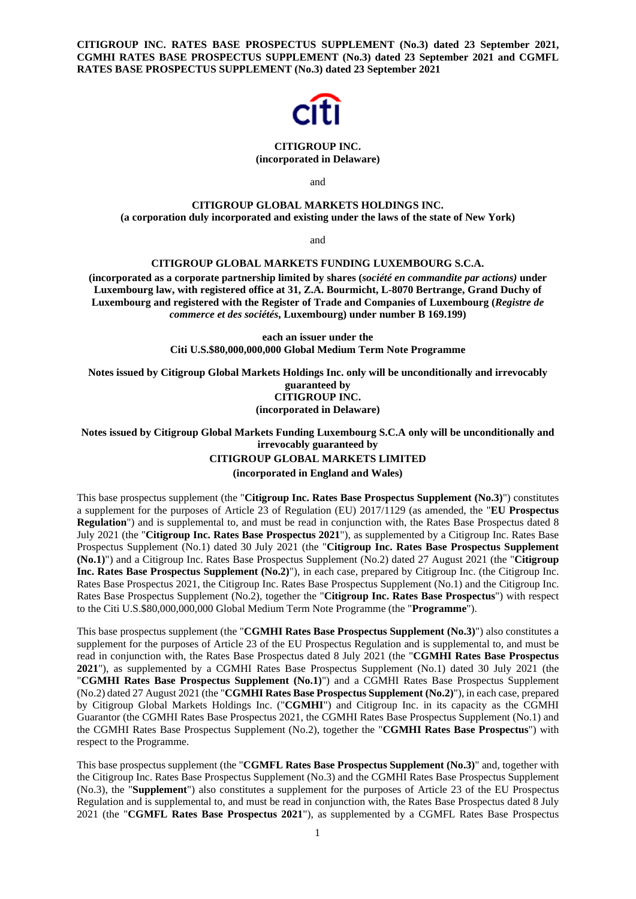**CITIGROUP INC. RATES BASE PROSPECTUS SUPPLEMENT (No.3) dated 23 September 2021, CGMHI RATES BASE PROSPECTUS SUPPLEMENT (No.3) dated 23 September 2021 and CGMFL RATES BASE PROSPECTUS SUPPLEMENT (No.3) dated 23 September 2021**



### **CITIGROUP INC. (incorporated in Delaware)**

and

# **CITIGROUP GLOBAL MARKETS HOLDINGS INC. (a corporation duly incorporated and existing under the laws of the state of New York)**

and

# **CITIGROUP GLOBAL MARKETS FUNDING LUXEMBOURG S.C.A.**

**(incorporated as a corporate partnership limited by shares (***société en commandite par actions)* **under Luxembourg law, with registered office at 31, Z.A. Bourmicht, L-8070 Bertrange, Grand Duchy of Luxembourg and registered with the Register of Trade and Companies of Luxembourg (***Registre de commerce et des sociétés***, Luxembourg) under number B 169.199)** 

> **each an issuer under the Citi U.S.\$80,000,000,000 Global Medium Term Note Programme**

**Notes issued by Citigroup Global Markets Holdings Inc. only will be unconditionally and irrevocably guaranteed by CITIGROUP INC.** 

**(incorporated in Delaware)**

**Notes issued by Citigroup Global Markets Funding Luxembourg S.C.A only will be unconditionally and irrevocably guaranteed by** 

## **CITIGROUP GLOBAL MARKETS LIMITED**

**(incorporated in England and Wales)** 

This base prospectus supplement (the "**Citigroup Inc. Rates Base Prospectus Supplement (No.3)**") constitutes a supplement for the purposes of Article 23 of Regulation (EU) 2017/1129 (as amended, the "**EU Prospectus Regulation**") and is supplemental to, and must be read in conjunction with, the Rates Base Prospectus dated 8 July 2021 (the "**Citigroup Inc. Rates Base Prospectus 2021**"), as supplemented by a Citigroup Inc. Rates Base Prospectus Supplement (No.1) dated 30 July 2021 (the "**Citigroup Inc. Rates Base Prospectus Supplement (No.1)**") and a Citigroup Inc. Rates Base Prospectus Supplement (No.2) dated 27 August 2021 (the "**Citigroup Inc. Rates Base Prospectus Supplement (No.2)**"), in each case, prepared by Citigroup Inc. (the Citigroup Inc. Rates Base Prospectus 2021, the Citigroup Inc. Rates Base Prospectus Supplement (No.1) and the Citigroup Inc. Rates Base Prospectus Supplement (No.2), together the "**Citigroup Inc. Rates Base Prospectus**") with respect to the Citi U.S.\$80,000,000,000 Global Medium Term Note Programme (the "**Programme**").

This base prospectus supplement (the "**CGMHI Rates Base Prospectus Supplement (No.3)**") also constitutes a supplement for the purposes of Article 23 of the EU Prospectus Regulation and is supplemental to, and must be read in conjunction with, the Rates Base Prospectus dated 8 July 2021 (the "**CGMHI Rates Base Prospectus 2021**"), as supplemented by a CGMHI Rates Base Prospectus Supplement (No.1) dated 30 July 2021 (the "**CGMHI Rates Base Prospectus Supplement (No.1)**") and a CGMHI Rates Base Prospectus Supplement (No.2) dated 27 August 2021 (the "**CGMHI Rates Base Prospectus Supplement (No.2)**"), in each case, prepared by Citigroup Global Markets Holdings Inc. ("**CGMHI**") and Citigroup Inc. in its capacity as the CGMHI Guarantor (the CGMHI Rates Base Prospectus 2021, the CGMHI Rates Base Prospectus Supplement (No.1) and the CGMHI Rates Base Prospectus Supplement (No.2), together the "**CGMHI Rates Base Prospectus**") with respect to the Programme.

This base prospectus supplement (the "**CGMFL Rates Base Prospectus Supplement (No.3)**" and, together with the Citigroup Inc. Rates Base Prospectus Supplement (No.3) and the CGMHI Rates Base Prospectus Supplement (No.3), the "**Supplement**") also constitutes a supplement for the purposes of Article 23 of the EU Prospectus Regulation and is supplemental to, and must be read in conjunction with, the Rates Base Prospectus dated 8 July 2021 (the "**CGMFL Rates Base Prospectus 2021**"), as supplemented by a CGMFL Rates Base Prospectus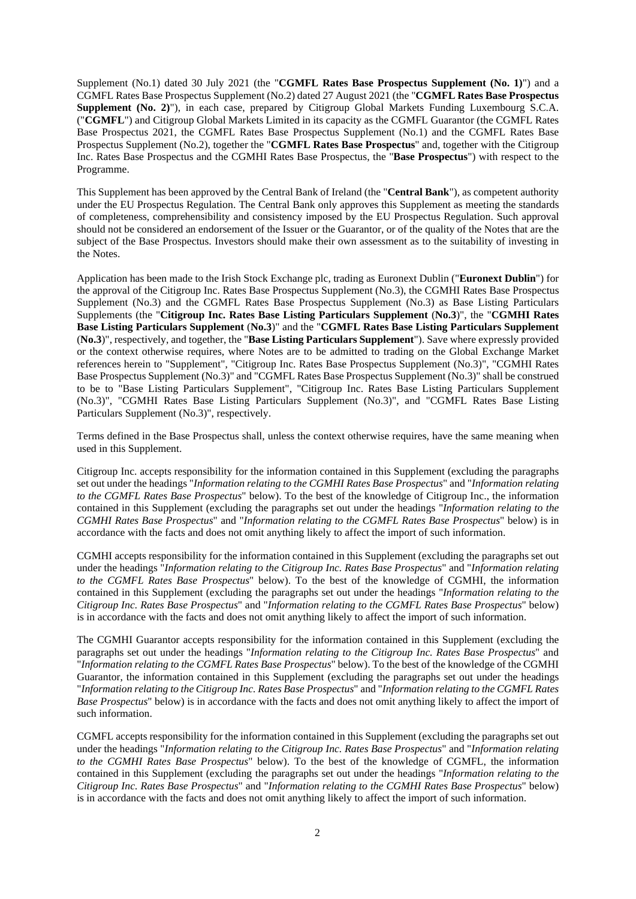Supplement (No.1) dated 30 July 2021 (the "**CGMFL Rates Base Prospectus Supplement (No. 1)**") and a CGMFL Rates Base Prospectus Supplement (No.2) dated 27 August 2021 (the "**CGMFL Rates Base Prospectus Supplement (No. 2)**"), in each case, prepared by Citigroup Global Markets Funding Luxembourg S.C.A. ("**CGMFL**") and Citigroup Global Markets Limited in its capacity as the CGMFL Guarantor (the CGMFL Rates Base Prospectus 2021, the CGMFL Rates Base Prospectus Supplement (No.1) and the CGMFL Rates Base Prospectus Supplement (No.2), together the "**CGMFL Rates Base Prospectus**" and, together with the Citigroup Inc. Rates Base Prospectus and the CGMHI Rates Base Prospectus, the "**Base Prospectus**") with respect to the Programme.

This Supplement has been approved by the Central Bank of Ireland (the "**Central Bank**"), as competent authority under the EU Prospectus Regulation. The Central Bank only approves this Supplement as meeting the standards of completeness, comprehensibility and consistency imposed by the EU Prospectus Regulation. Such approval should not be considered an endorsement of the Issuer or the Guarantor, or of the quality of the Notes that are the subject of the Base Prospectus. Investors should make their own assessment as to the suitability of investing in the Notes.

Application has been made to the Irish Stock Exchange plc, trading as Euronext Dublin ("**Euronext Dublin**") for the approval of the Citigroup Inc. Rates Base Prospectus Supplement (No.3), the CGMHI Rates Base Prospectus Supplement (No.3) and the CGMFL Rates Base Prospectus Supplement (No.3) as Base Listing Particulars Supplements (the "**Citigroup Inc. Rates Base Listing Particulars Supplement** (**No.3**)", the "**CGMHI Rates Base Listing Particulars Supplement** (**No.3**)" and the "**CGMFL Rates Base Listing Particulars Supplement**  (**No.3**)", respectively, and together, the "**Base Listing Particulars Supplement**"). Save where expressly provided or the context otherwise requires, where Notes are to be admitted to trading on the Global Exchange Market references herein to "Supplement", "Citigroup Inc. Rates Base Prospectus Supplement (No.3)", "CGMHI Rates Base Prospectus Supplement (No.3)" and "CGMFL Rates Base Prospectus Supplement (No.3)" shall be construed to be to "Base Listing Particulars Supplement", "Citigroup Inc. Rates Base Listing Particulars Supplement (No.3)", "CGMHI Rates Base Listing Particulars Supplement (No.3)", and "CGMFL Rates Base Listing Particulars Supplement (No.3)", respectively.

Terms defined in the Base Prospectus shall, unless the context otherwise requires, have the same meaning when used in this Supplement.

Citigroup Inc. accepts responsibility for the information contained in this Supplement (excluding the paragraphs set out under the headings "*Information relating to the CGMHI Rates Base Prospectus*" and "*Information relating to the CGMFL Rates Base Prospectus*" below). To the best of the knowledge of Citigroup Inc., the information contained in this Supplement (excluding the paragraphs set out under the headings "*Information relating to the CGMHI Rates Base Prospectus*" and "*Information relating to the CGMFL Rates Base Prospectus*" below) is in accordance with the facts and does not omit anything likely to affect the import of such information.

CGMHI accepts responsibility for the information contained in this Supplement (excluding the paragraphs set out under the headings "*Information relating to the Citigroup Inc. Rates Base Prospectus*" and "*Information relating to the CGMFL Rates Base Prospectus*" below). To the best of the knowledge of CGMHI, the information contained in this Supplement (excluding the paragraphs set out under the headings "*Information relating to the Citigroup Inc. Rates Base Prospectus*" and "*Information relating to the CGMFL Rates Base Prospectus*" below) is in accordance with the facts and does not omit anything likely to affect the import of such information.

The CGMHI Guarantor accepts responsibility for the information contained in this Supplement (excluding the paragraphs set out under the headings "*Information relating to the Citigroup Inc. Rates Base Prospectus*" and "*Information relating to the CGMFL Rates Base Prospectus*" below). To the best of the knowledge of the CGMHI Guarantor, the information contained in this Supplement (excluding the paragraphs set out under the headings "*Information relating to the Citigroup Inc. Rates Base Prospectus*" and "*Information relating to the CGMFL Rates Base Prospectus*" below) is in accordance with the facts and does not omit anything likely to affect the import of such information.

CGMFL accepts responsibility for the information contained in this Supplement (excluding the paragraphs set out under the headings "*Information relating to the Citigroup Inc. Rates Base Prospectus*" and "*Information relating to the CGMHI Rates Base Prospectus*" below). To the best of the knowledge of CGMFL, the information contained in this Supplement (excluding the paragraphs set out under the headings "*Information relating to the Citigroup Inc. Rates Base Prospectus*" and "*Information relating to the CGMHI Rates Base Prospectus*" below) is in accordance with the facts and does not omit anything likely to affect the import of such information.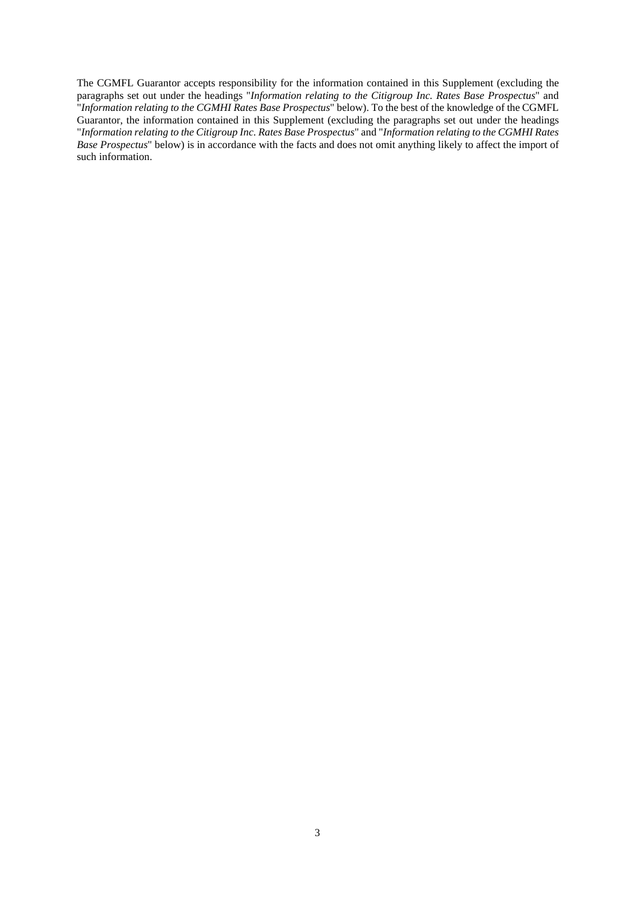The CGMFL Guarantor accepts responsibility for the information contained in this Supplement (excluding the paragraphs set out under the headings "*Information relating to the Citigroup Inc. Rates Base Prospectus*" and "*Information relating to the CGMHI Rates Base Prospectus*" below). To the best of the knowledge of the CGMFL Guarantor, the information contained in this Supplement (excluding the paragraphs set out under the headings "*Information relating to the Citigroup Inc. Rates Base Prospectus*" and "*Information relating to the CGMHI Rates Base Prospectus*" below) is in accordance with the facts and does not omit anything likely to affect the import of such information.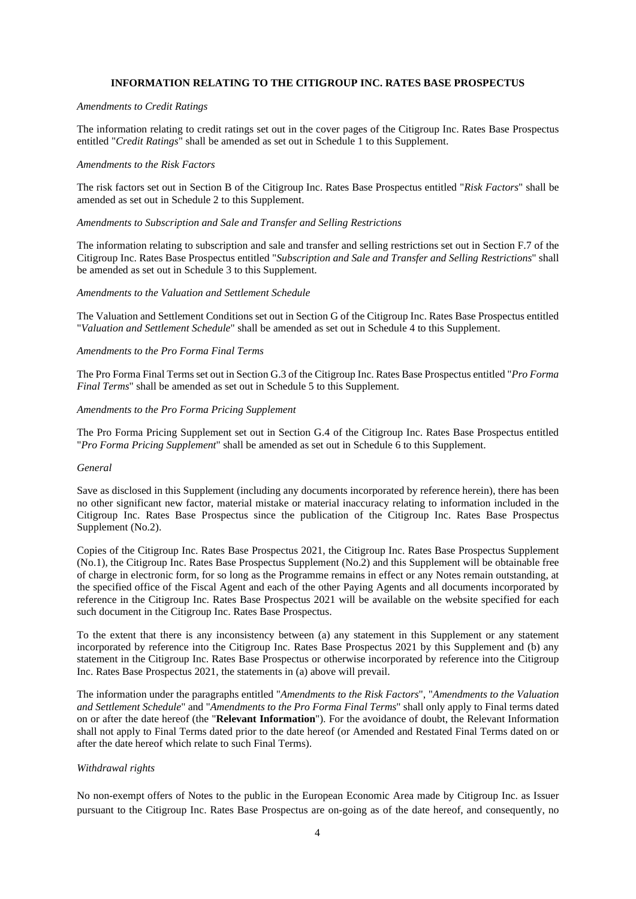# **INFORMATION RELATING TO THE CITIGROUP INC. RATES BASE PROSPECTUS**

#### *Amendments to Credit Ratings*

The information relating to credit ratings set out in the cover pages of the Citigroup Inc. Rates Base Prospectus entitled "*Credit Ratings*" shall be amended as set out in Schedule 1 to this Supplement.

#### *Amendments to the Risk Factors*

The risk factors set out in Section B of the Citigroup Inc. Rates Base Prospectus entitled "*Risk Factors*" shall be amended as set out in Schedule 2 to this Supplement.

## *Amendments to Subscription and Sale and Transfer and Selling Restrictions*

The information relating to subscription and sale and transfer and selling restrictions set out in Section F.7 of the Citigroup Inc. Rates Base Prospectus entitled "*Subscription and Sale and Transfer and Selling Restrictions*" shall be amended as set out in Schedule 3 to this Supplement.

#### *Amendments to the Valuation and Settlement Schedule*

The Valuation and Settlement Conditions set out in Section G of the Citigroup Inc. Rates Base Prospectus entitled "*Valuation and Settlement Schedule*" shall be amended as set out in Schedule 4 to this Supplement.

## *Amendments to the Pro Forma Final Terms*

The Pro Forma Final Terms set out in Section G.3 of the Citigroup Inc. Rates Base Prospectus entitled "*Pro Forma Final Terms*" shall be amended as set out in Schedule 5 to this Supplement.

## *Amendments to the Pro Forma Pricing Supplement*

The Pro Forma Pricing Supplement set out in Section G.4 of the Citigroup Inc. Rates Base Prospectus entitled "*Pro Forma Pricing Supplement*" shall be amended as set out in Schedule 6 to this Supplement.

#### *General*

Save as disclosed in this Supplement (including any documents incorporated by reference herein), there has been no other significant new factor, material mistake or material inaccuracy relating to information included in the Citigroup Inc. Rates Base Prospectus since the publication of the Citigroup Inc. Rates Base Prospectus Supplement (No.2).

Copies of the Citigroup Inc. Rates Base Prospectus 2021, the Citigroup Inc. Rates Base Prospectus Supplement (No.1), the Citigroup Inc. Rates Base Prospectus Supplement (No.2) and this Supplement will be obtainable free of charge in electronic form, for so long as the Programme remains in effect or any Notes remain outstanding, at the specified office of the Fiscal Agent and each of the other Paying Agents and all documents incorporated by reference in the Citigroup Inc. Rates Base Prospectus 2021 will be available on the website specified for each such document in the Citigroup Inc. Rates Base Prospectus.

To the extent that there is any inconsistency between (a) any statement in this Supplement or any statement incorporated by reference into the Citigroup Inc. Rates Base Prospectus 2021 by this Supplement and (b) any statement in the Citigroup Inc. Rates Base Prospectus or otherwise incorporated by reference into the Citigroup Inc. Rates Base Prospectus 2021, the statements in (a) above will prevail.

The information under the paragraphs entitled "*Amendments to the Risk Factors*", "*Amendments to the Valuation and Settlement Schedule*" and "*Amendments to the Pro Forma Final Terms*" shall only apply to Final terms dated on or after the date hereof (the "**Relevant Information**"). For the avoidance of doubt, the Relevant Information shall not apply to Final Terms dated prior to the date hereof (or Amended and Restated Final Terms dated on or after the date hereof which relate to such Final Terms).

## *Withdrawal rights*

No non-exempt offers of Notes to the public in the European Economic Area made by Citigroup Inc. as Issuer pursuant to the Citigroup Inc. Rates Base Prospectus are on-going as of the date hereof, and consequently, no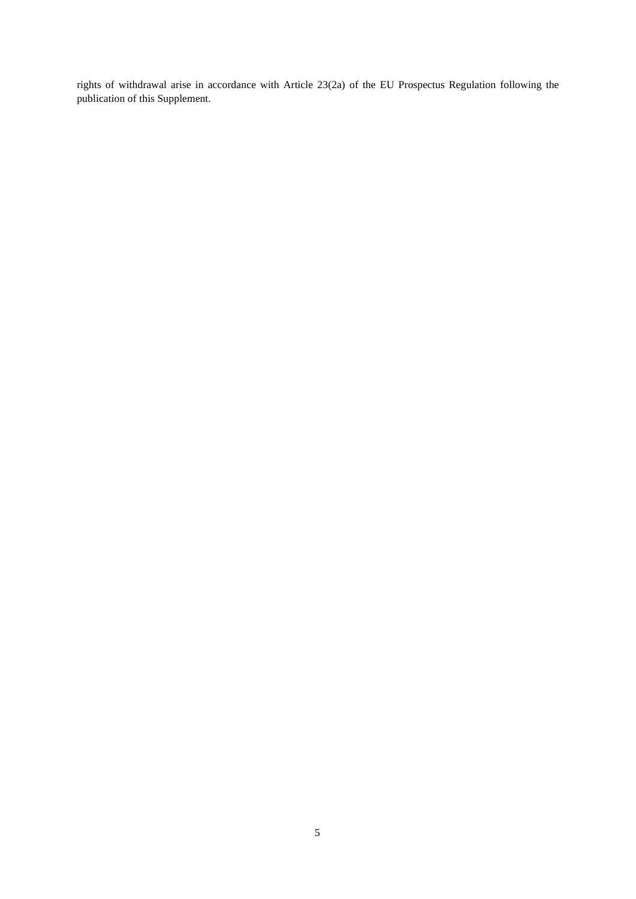rights of withdrawal arise in accordance with Article 23(2a) of the EU Prospectus Regulation following the publication of this Supplement.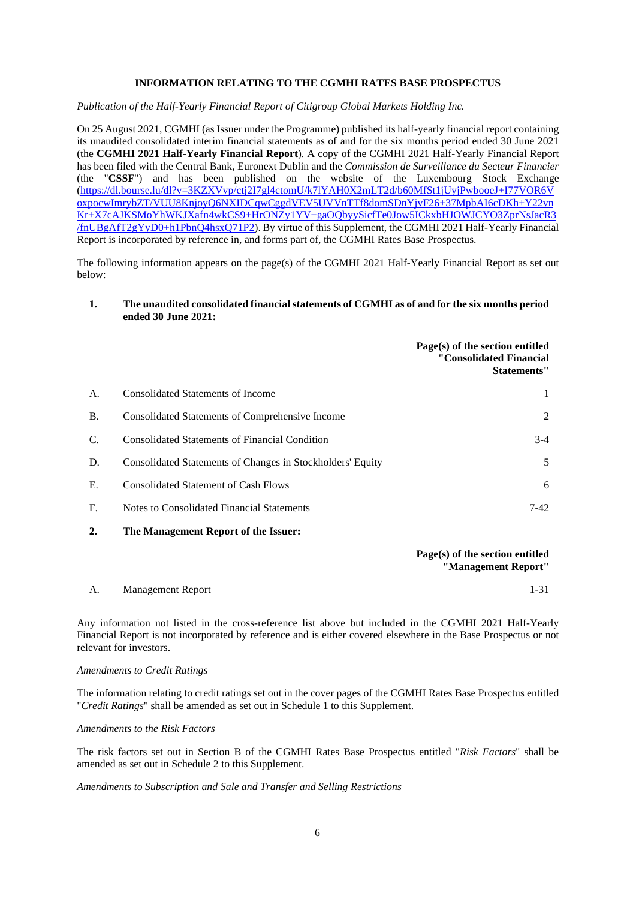# **INFORMATION RELATING TO THE CGMHI RATES BASE PROSPECTUS**

*Publication of the Half-Yearly Financial Report of Citigroup Global Markets Holding Inc.*

On 25 August 2021, CGMHI (as Issuer under the Programme) published its half-yearly financial report containing its unaudited consolidated interim financial statements as of and for the six months period ended 30 June 2021 (the **CGMHI 2021 Half-Yearly Financial Report**). A copy of the CGMHI 2021 Half-Yearly Financial Report has been filed with the Central Bank, Euronext Dublin and the *Commission de Surveillance du Secteur Financier* (the "**CSSF**") and has been published on the website of the Luxembourg Stock Exchange (https://dl.bourse.lu/dl?v=3KZXVvp/ctj2I7gl4ctomU/k7lYAH0X2mLT2d/b60MfSt1jUyjPwbooeJ+I77VOR6V oxpocwImrybZT/VUU8KnjoyQ6NXIDCqwCggdVEV5UVVnTTf8domSDnYjvF26+37MpbAI6cDKh+Y22vn Kr+X7cAJKSMoYhWKJXafn4wkCS9+HrONZy1YV+gaOQbyySicfTe0Jow5ICkxbHJOWJCYO3ZprNsJacR3 /fnUBgAfT2gYyD0+h1PbnQ4hsxQ71P2). By virtue of this Supplement, the CGMHI 2021 Half-Yearly Financial Report is incorporated by reference in, and forms part of, the CGMHI Rates Base Prospectus.

The following information appears on the page(s) of the CGMHI 2021 Half-Yearly Financial Report as set out below:

## **1. The unaudited consolidated financial statements of CGMHI as of and for the six months period ended 30 June 2021:**

|           |                                                            | Page(s) of the section entitled<br>"Consolidated Financial<br>Statements" |
|-----------|------------------------------------------------------------|---------------------------------------------------------------------------|
| A.        | <b>Consolidated Statements of Income</b>                   |                                                                           |
| <b>B.</b> | Consolidated Statements of Comprehensive Income            | 2                                                                         |
| C.        | <b>Consolidated Statements of Financial Condition</b>      | $3-4$                                                                     |
| D.        | Consolidated Statements of Changes in Stockholders' Equity | 5                                                                         |
| Е.        | <b>Consolidated Statement of Cash Flows</b>                | 6                                                                         |
| F.        | Notes to Consolidated Financial Statements                 | $7-42$                                                                    |
|           |                                                            |                                                                           |

**2. The Management Report of the Issuer:**

# **Page(s) of the section entitled "Management Report"**

| A. | <b>Management Report</b> |  |
|----|--------------------------|--|

Any information not listed in the cross-reference list above but included in the CGMHI 2021 Half-Yearly Financial Report is not incorporated by reference and is either covered elsewhere in the Base Prospectus or not relevant for investors.

## *Amendments to Credit Ratings*

The information relating to credit ratings set out in the cover pages of the CGMHI Rates Base Prospectus entitled "*Credit Ratings*" shall be amended as set out in Schedule 1 to this Supplement.

*Amendments to the Risk Factors* 

The risk factors set out in Section B of the CGMHI Rates Base Prospectus entitled "*Risk Factors*" shall be amended as set out in Schedule 2 to this Supplement.

## *Amendments to Subscription and Sale and Transfer and Selling Restrictions*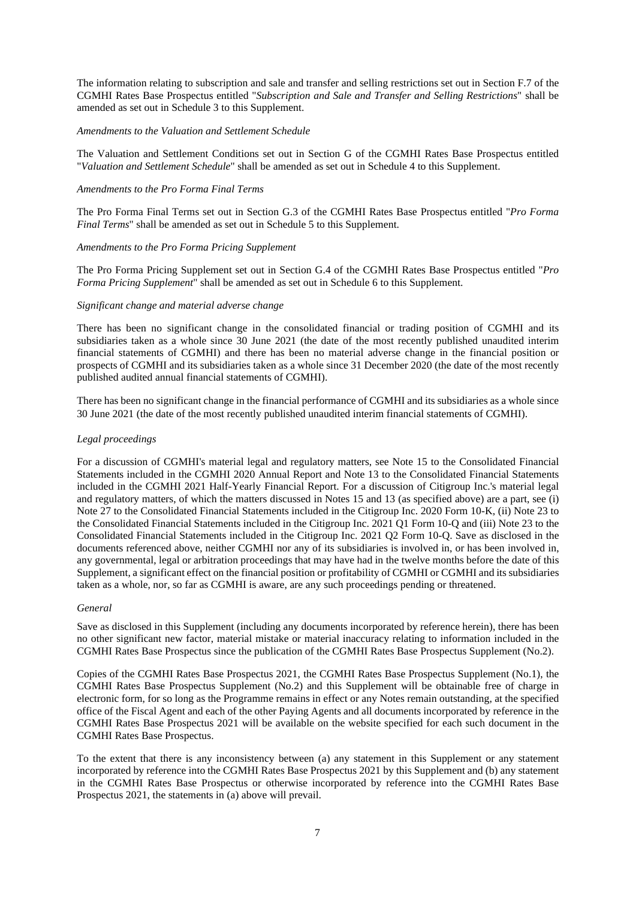The information relating to subscription and sale and transfer and selling restrictions set out in Section F.7 of the CGMHI Rates Base Prospectus entitled "*Subscription and Sale and Transfer and Selling Restrictions*" shall be amended as set out in Schedule 3 to this Supplement.

## *Amendments to the Valuation and Settlement Schedule*

The Valuation and Settlement Conditions set out in Section G of the CGMHI Rates Base Prospectus entitled "*Valuation and Settlement Schedule*" shall be amended as set out in Schedule 4 to this Supplement.

## *Amendments to the Pro Forma Final Terms*

The Pro Forma Final Terms set out in Section G.3 of the CGMHI Rates Base Prospectus entitled "*Pro Forma Final Terms*" shall be amended as set out in Schedule 5 to this Supplement.

## *Amendments to the Pro Forma Pricing Supplement*

The Pro Forma Pricing Supplement set out in Section G.4 of the CGMHI Rates Base Prospectus entitled "*Pro Forma Pricing Supplement*" shall be amended as set out in Schedule 6 to this Supplement.

## *Significant change and material adverse change*

There has been no significant change in the consolidated financial or trading position of CGMHI and its subsidiaries taken as a whole since 30 June 2021 (the date of the most recently published unaudited interim financial statements of CGMHI) and there has been no material adverse change in the financial position or prospects of CGMHI and its subsidiaries taken as a whole since 31 December 2020 (the date of the most recently published audited annual financial statements of CGMHI).

There has been no significant change in the financial performance of CGMHI and its subsidiaries as a whole since 30 June 2021 (the date of the most recently published unaudited interim financial statements of CGMHI).

## *Legal proceedings*

For a discussion of CGMHI's material legal and regulatory matters, see Note 15 to the Consolidated Financial Statements included in the CGMHI 2020 Annual Report and Note 13 to the Consolidated Financial Statements included in the CGMHI 2021 Half-Yearly Financial Report. For a discussion of Citigroup Inc.'s material legal and regulatory matters, of which the matters discussed in Notes 15 and 13 (as specified above) are a part, see (i) Note 27 to the Consolidated Financial Statements included in the Citigroup Inc. 2020 Form 10-K, (ii) Note 23 to the Consolidated Financial Statements included in the Citigroup Inc. 2021 Q1 Form 10-Q and (iii) Note 23 to the Consolidated Financial Statements included in the Citigroup Inc. 2021 Q2 Form 10-Q. Save as disclosed in the documents referenced above, neither CGMHI nor any of its subsidiaries is involved in, or has been involved in, any governmental, legal or arbitration proceedings that may have had in the twelve months before the date of this Supplement, a significant effect on the financial position or profitability of CGMHI or CGMHI and its subsidiaries taken as a whole, nor, so far as CGMHI is aware, are any such proceedings pending or threatened.

## *General*

Save as disclosed in this Supplement (including any documents incorporated by reference herein), there has been no other significant new factor, material mistake or material inaccuracy relating to information included in the CGMHI Rates Base Prospectus since the publication of the CGMHI Rates Base Prospectus Supplement (No.2).

Copies of the CGMHI Rates Base Prospectus 2021, the CGMHI Rates Base Prospectus Supplement (No.1), the CGMHI Rates Base Prospectus Supplement (No.2) and this Supplement will be obtainable free of charge in electronic form, for so long as the Programme remains in effect or any Notes remain outstanding, at the specified office of the Fiscal Agent and each of the other Paying Agents and all documents incorporated by reference in the CGMHI Rates Base Prospectus 2021 will be available on the website specified for each such document in the CGMHI Rates Base Prospectus.

To the extent that there is any inconsistency between (a) any statement in this Supplement or any statement incorporated by reference into the CGMHI Rates Base Prospectus 2021 by this Supplement and (b) any statement in the CGMHI Rates Base Prospectus or otherwise incorporated by reference into the CGMHI Rates Base Prospectus 2021, the statements in (a) above will prevail.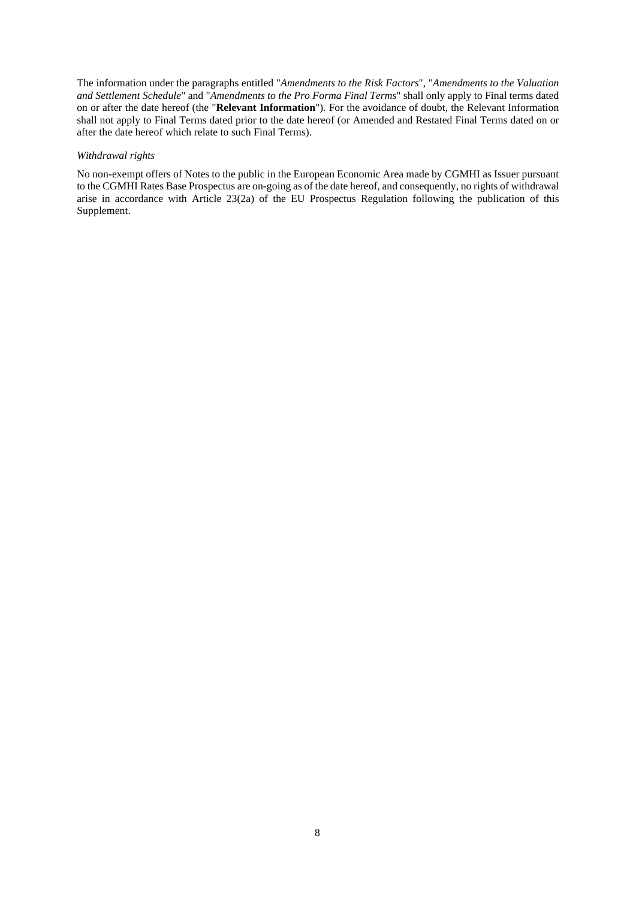The information under the paragraphs entitled "*Amendments to the Risk Factors*", "*Amendments to the Valuation and Settlement Schedule*" and "*Amendments to the Pro Forma Final Terms*" shall only apply to Final terms dated on or after the date hereof (the "**Relevant Information**"). For the avoidance of doubt, the Relevant Information shall not apply to Final Terms dated prior to the date hereof (or Amended and Restated Final Terms dated on or after the date hereof which relate to such Final Terms).

## *Withdrawal rights*

No non-exempt offers of Notes to the public in the European Economic Area made by CGMHI as Issuer pursuant to the CGMHI Rates Base Prospectus are on-going as of the date hereof, and consequently, no rights of withdrawal arise in accordance with Article 23(2a) of the EU Prospectus Regulation following the publication of this Supplement.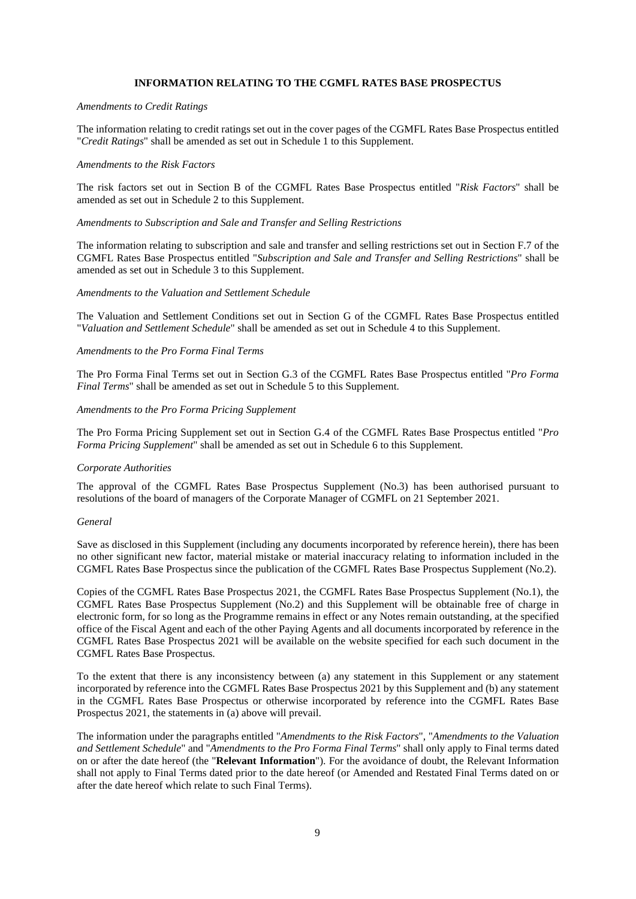## **INFORMATION RELATING TO THE CGMFL RATES BASE PROSPECTUS**

#### *Amendments to Credit Ratings*

The information relating to credit ratings set out in the cover pages of the CGMFL Rates Base Prospectus entitled "*Credit Ratings*" shall be amended as set out in Schedule 1 to this Supplement.

#### *Amendments to the Risk Factors*

The risk factors set out in Section B of the CGMFL Rates Base Prospectus entitled "*Risk Factors*" shall be amended as set out in Schedule 2 to this Supplement.

## *Amendments to Subscription and Sale and Transfer and Selling Restrictions*

The information relating to subscription and sale and transfer and selling restrictions set out in Section F.7 of the CGMFL Rates Base Prospectus entitled "*Subscription and Sale and Transfer and Selling Restrictions*" shall be amended as set out in Schedule 3 to this Supplement.

#### *Amendments to the Valuation and Settlement Schedule*

The Valuation and Settlement Conditions set out in Section G of the CGMFL Rates Base Prospectus entitled "*Valuation and Settlement Schedule*" shall be amended as set out in Schedule 4 to this Supplement.

## *Amendments to the Pro Forma Final Terms*

The Pro Forma Final Terms set out in Section G.3 of the CGMFL Rates Base Prospectus entitled "*Pro Forma Final Terms*" shall be amended as set out in Schedule 5 to this Supplement.

## *Amendments to the Pro Forma Pricing Supplement*

The Pro Forma Pricing Supplement set out in Section G.4 of the CGMFL Rates Base Prospectus entitled "*Pro Forma Pricing Supplement*" shall be amended as set out in Schedule 6 to this Supplement.

#### *Corporate Authorities*

The approval of the CGMFL Rates Base Prospectus Supplement (No.3) has been authorised pursuant to resolutions of the board of managers of the Corporate Manager of CGMFL on 21 September 2021.

#### *General*

Save as disclosed in this Supplement (including any documents incorporated by reference herein), there has been no other significant new factor, material mistake or material inaccuracy relating to information included in the CGMFL Rates Base Prospectus since the publication of the CGMFL Rates Base Prospectus Supplement (No.2).

Copies of the CGMFL Rates Base Prospectus 2021, the CGMFL Rates Base Prospectus Supplement (No.1), the CGMFL Rates Base Prospectus Supplement (No.2) and this Supplement will be obtainable free of charge in electronic form, for so long as the Programme remains in effect or any Notes remain outstanding, at the specified office of the Fiscal Agent and each of the other Paying Agents and all documents incorporated by reference in the CGMFL Rates Base Prospectus 2021 will be available on the website specified for each such document in the CGMFL Rates Base Prospectus.

To the extent that there is any inconsistency between (a) any statement in this Supplement or any statement incorporated by reference into the CGMFL Rates Base Prospectus 2021 by this Supplement and (b) any statement in the CGMFL Rates Base Prospectus or otherwise incorporated by reference into the CGMFL Rates Base Prospectus 2021, the statements in (a) above will prevail.

The information under the paragraphs entitled "*Amendments to the Risk Factors*", "*Amendments to the Valuation and Settlement Schedule*" and "*Amendments to the Pro Forma Final Terms*" shall only apply to Final terms dated on or after the date hereof (the "**Relevant Information**"). For the avoidance of doubt, the Relevant Information shall not apply to Final Terms dated prior to the date hereof (or Amended and Restated Final Terms dated on or after the date hereof which relate to such Final Terms).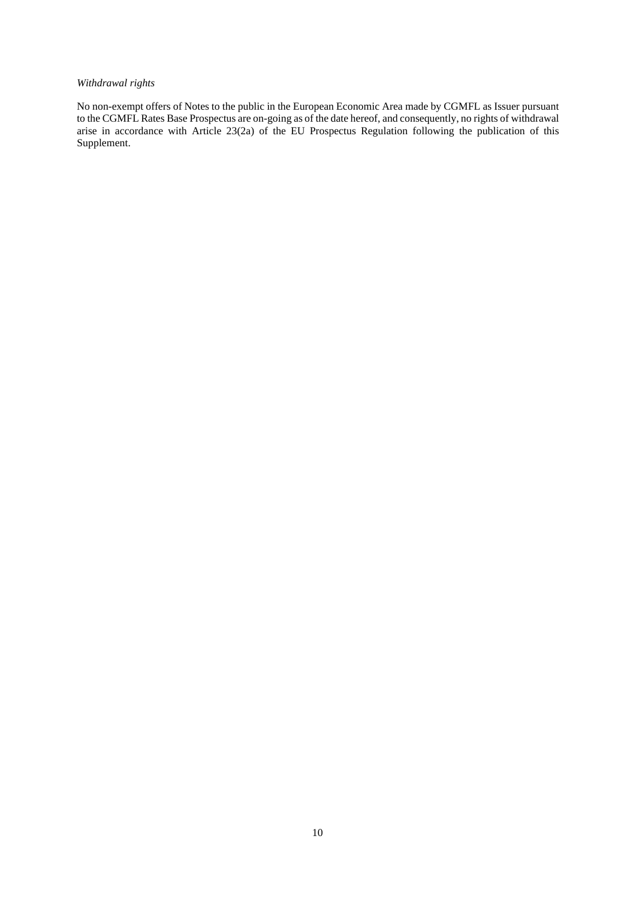# *Withdrawal rights*

No non-exempt offers of Notes to the public in the European Economic Area made by CGMFL as Issuer pursuant to the CGMFL Rates Base Prospectus are on-going as of the date hereof, and consequently, no rights of withdrawal arise in accordance with Article 23(2a) of the EU Prospectus Regulation following the publication of this Supplement.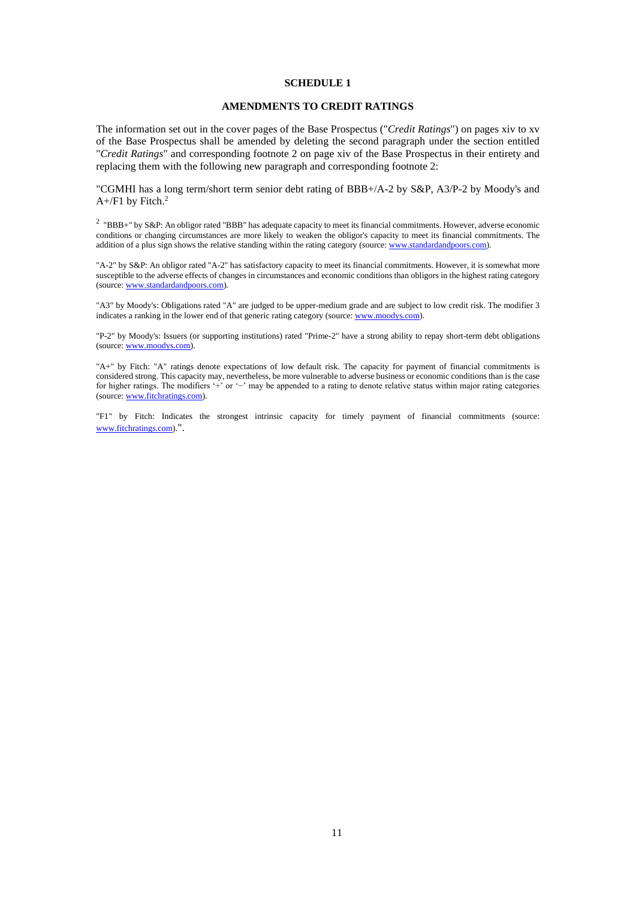## **AMENDMENTS TO CREDIT RATINGS**

The information set out in the cover pages of the Base Prospectus ("*Credit Ratings*") on pages xiv to xv of the Base Prospectus shall be amended by deleting the second paragraph under the section entitled "*Credit Ratings*" and corresponding footnote 2 on page xiv of the Base Prospectus in their entirety and replacing them with the following new paragraph and corresponding footnote 2:

"CGMHI has a long term/short term senior debt rating of BBB+/A-2 by S&P, A3/P-2 by Moody's and  $A+$ /F1 by Fitch.<sup>2</sup>

<sup>2</sup> "BBB+" by S&P: An obligor rated "BBB" has adequate capacity to meet its financial commitments. However, adverse economic conditions or changing circumstances are more likely to weaken the obligor's capacity to meet its financial commitments. The addition of a plus sign shows the relative standing within the rating category (source: www.standardandpoors.com).

"A-2" by S&P: An obligor rated "A-2" has satisfactory capacity to meet its financial commitments. However, it is somewhat more susceptible to the adverse effects of changes in circumstances and economic conditions than obligors in the highest rating category (source: www.standardandpoors.com).

"A3" by Moody's: Obligations rated "A" are judged to be upper-medium grade and are subject to low credit risk. The modifier 3 indicates a ranking in the lower end of that generic rating category (source: www.moodys.com).

"P-2" by Moody's: Issuers (or supporting institutions) rated "Prime-2" have a strong ability to repay short-term debt obligations (source: www.moodys.com).

"A+" by Fitch: "A" ratings denote expectations of low default risk. The capacity for payment of financial commitments is considered strong. This capacity may, nevertheless, be more vulnerable to adverse business or economic conditions than is the case for higher ratings. The modifiers '+' or '−' may be appended to a rating to denote relative status within major rating categories (source: www.fitchratings.com).

"F1" by Fitch: Indicates the strongest intrinsic capacity for timely payment of financial commitments (source: www.fitchratings.com).".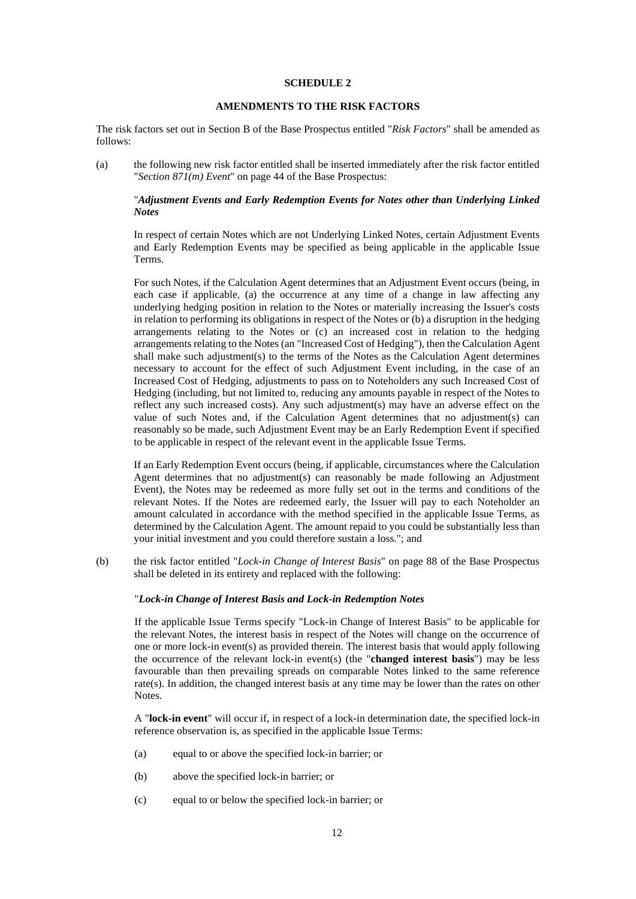## **AMENDMENTS TO THE RISK FACTORS**

The risk factors set out in Section B of the Base Prospectus entitled "*Risk Factors*" shall be amended as follows:

(a) the following new risk factor entitled shall be inserted immediately after the risk factor entitled "*Section 871(m) Event*" on page 44 of the Base Prospectus:

## "*Adjustment Events and Early Redemption Events for Notes other than Underlying Linked Notes*

In respect of certain Notes which are not Underlying Linked Notes, certain Adjustment Events and Early Redemption Events may be specified as being applicable in the applicable Issue Terms.

For such Notes, if the Calculation Agent determines that an Adjustment Event occurs (being, in each case if applicable, (a) the occurrence at any time of a change in law affecting any underlying hedging position in relation to the Notes or materially increasing the Issuer's costs in relation to performing its obligations in respect of the Notes or (b) a disruption in the hedging arrangements relating to the Notes or (c) an increased cost in relation to the hedging arrangements relating to the Notes (an "Increased Cost of Hedging"), then the Calculation Agent shall make such adjustment(s) to the terms of the Notes as the Calculation Agent determines necessary to account for the effect of such Adjustment Event including, in the case of an Increased Cost of Hedging, adjustments to pass on to Noteholders any such Increased Cost of Hedging (including, but not limited to, reducing any amounts payable in respect of the Notes to reflect any such increased costs). Any such adjustment(s) may have an adverse effect on the value of such Notes and, if the Calculation Agent determines that no adjustment(s) can reasonably so be made, such Adjustment Event may be an Early Redemption Event if specified to be applicable in respect of the relevant event in the applicable Issue Terms.

If an Early Redemption Event occurs (being, if applicable, circumstances where the Calculation Agent determines that no adjustment(s) can reasonably be made following an Adjustment Event), the Notes may be redeemed as more fully set out in the terms and conditions of the relevant Notes. If the Notes are redeemed early, the Issuer will pay to each Noteholder an amount calculated in accordance with the method specified in the applicable Issue Terms, as determined by the Calculation Agent. The amount repaid to you could be substantially less than your initial investment and you could therefore sustain a loss."; and

(b) the risk factor entitled "*Lock-in Change of Interest Basis*" on page 88 of the Base Prospectus shall be deleted in its entirety and replaced with the following:

#### "*Lock-in Change of Interest Basis and Lock-in Redemption Notes*

If the applicable Issue Terms specify "Lock-in Change of Interest Basis" to be applicable for the relevant Notes, the interest basis in respect of the Notes will change on the occurrence of one or more lock-in event(s) as provided therein. The interest basis that would apply following the occurrence of the relevant lock-in event(s) (the "**changed interest basis**") may be less favourable than then prevailing spreads on comparable Notes linked to the same reference rate(s). In addition, the changed interest basis at any time may be lower than the rates on other Notes.

A "**lock-in event**" will occur if, in respect of a lock-in determination date, the specified lock-in reference observation is, as specified in the applicable Issue Terms:

- (a) equal to or above the specified lock-in barrier; or
- (b) above the specified lock-in barrier; or
- (c) equal to or below the specified lock-in barrier; or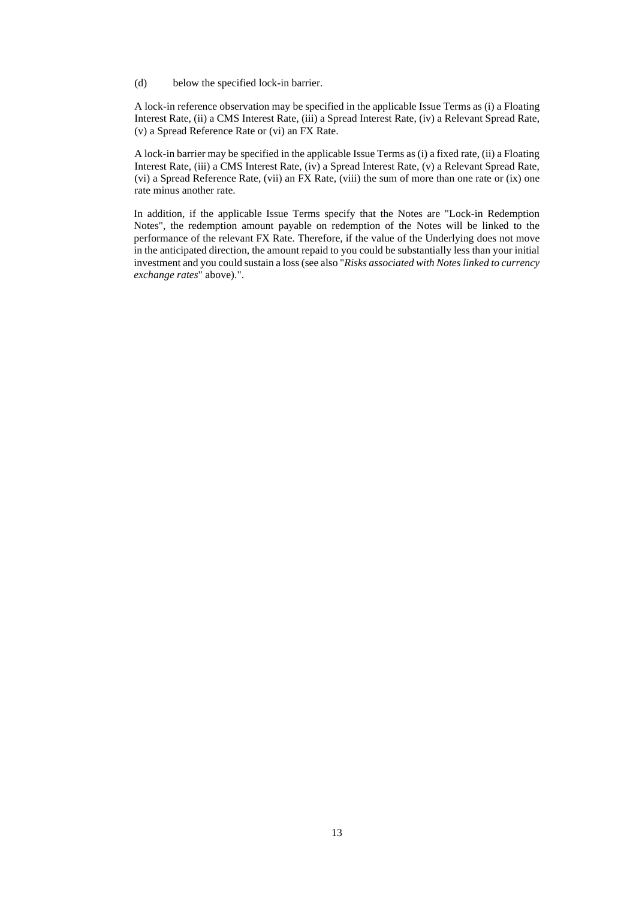(d) below the specified lock-in barrier.

A lock-in reference observation may be specified in the applicable Issue Terms as (i) a Floating Interest Rate, (ii) a CMS Interest Rate, (iii) a Spread Interest Rate, (iv) a Relevant Spread Rate, (v) a Spread Reference Rate or (vi) an FX Rate.

A lock-in barrier may be specified in the applicable Issue Terms as (i) a fixed rate, (ii) a Floating Interest Rate, (iii) a CMS Interest Rate, (iv) a Spread Interest Rate, (v) a Relevant Spread Rate, (vi) a Spread Reference Rate, (vii) an FX Rate, (viii) the sum of more than one rate or (ix) one rate minus another rate.

In addition, if the applicable Issue Terms specify that the Notes are "Lock-in Redemption Notes", the redemption amount payable on redemption of the Notes will be linked to the performance of the relevant FX Rate. Therefore, if the value of the Underlying does not move in the anticipated direction, the amount repaid to you could be substantially less than your initial investment and you could sustain a loss (see also "*Risks associated with Notes linked to currency exchange rates*" above).".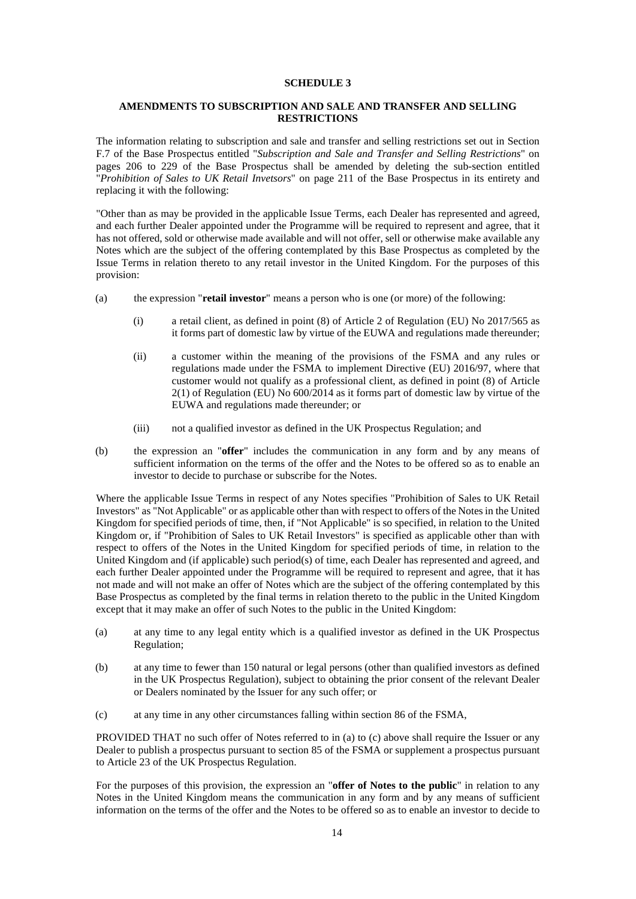# **AMENDMENTS TO SUBSCRIPTION AND SALE AND TRANSFER AND SELLING RESTRICTIONS**

The information relating to subscription and sale and transfer and selling restrictions set out in Section F.7 of the Base Prospectus entitled "*Subscription and Sale and Transfer and Selling Restrictions*" on pages 206 to 229 of the Base Prospectus shall be amended by deleting the sub-section entitled "*Prohibition of Sales to UK Retail Invetsors*" on page 211 of the Base Prospectus in its entirety and replacing it with the following:

"Other than as may be provided in the applicable Issue Terms, each Dealer has represented and agreed, and each further Dealer appointed under the Programme will be required to represent and agree, that it has not offered, sold or otherwise made available and will not offer, sell or otherwise make available any Notes which are the subject of the offering contemplated by this Base Prospectus as completed by the Issue Terms in relation thereto to any retail investor in the United Kingdom. For the purposes of this provision:

- (a) the expression "**retail investor**" means a person who is one (or more) of the following:
	- (i) a retail client, as defined in point (8) of Article 2 of Regulation (EU) No 2017/565 as it forms part of domestic law by virtue of the EUWA and regulations made thereunder;
	- (ii) a customer within the meaning of the provisions of the FSMA and any rules or regulations made under the FSMA to implement Directive (EU) 2016/97, where that customer would not qualify as a professional client, as defined in point (8) of Article  $2(1)$  of Regulation (EU) No  $600/2014$  as it forms part of domestic law by virtue of the EUWA and regulations made thereunder; or
	- (iii) not a qualified investor as defined in the UK Prospectus Regulation; and
- (b) the expression an "**offer**" includes the communication in any form and by any means of sufficient information on the terms of the offer and the Notes to be offered so as to enable an investor to decide to purchase or subscribe for the Notes.

Where the applicable Issue Terms in respect of any Notes specifies "Prohibition of Sales to UK Retail Investors" as "Not Applicable" or as applicable other than with respect to offers of the Notes in the United Kingdom for specified periods of time, then, if "Not Applicable" is so specified, in relation to the United Kingdom or, if "Prohibition of Sales to UK Retail Investors" is specified as applicable other than with respect to offers of the Notes in the United Kingdom for specified periods of time, in relation to the United Kingdom and (if applicable) such period(s) of time, each Dealer has represented and agreed, and each further Dealer appointed under the Programme will be required to represent and agree, that it has not made and will not make an offer of Notes which are the subject of the offering contemplated by this Base Prospectus as completed by the final terms in relation thereto to the public in the United Kingdom except that it may make an offer of such Notes to the public in the United Kingdom:

- (a) at any time to any legal entity which is a qualified investor as defined in the UK Prospectus Regulation;
- (b) at any time to fewer than 150 natural or legal persons (other than qualified investors as defined in the UK Prospectus Regulation), subject to obtaining the prior consent of the relevant Dealer or Dealers nominated by the Issuer for any such offer; or
- (c) at any time in any other circumstances falling within section 86 of the FSMA,

PROVIDED THAT no such offer of Notes referred to in (a) to (c) above shall require the Issuer or any Dealer to publish a prospectus pursuant to section 85 of the FSMA or supplement a prospectus pursuant to Article 23 of the UK Prospectus Regulation.

For the purposes of this provision, the expression an "**offer of Notes to the public**" in relation to any Notes in the United Kingdom means the communication in any form and by any means of sufficient information on the terms of the offer and the Notes to be offered so as to enable an investor to decide to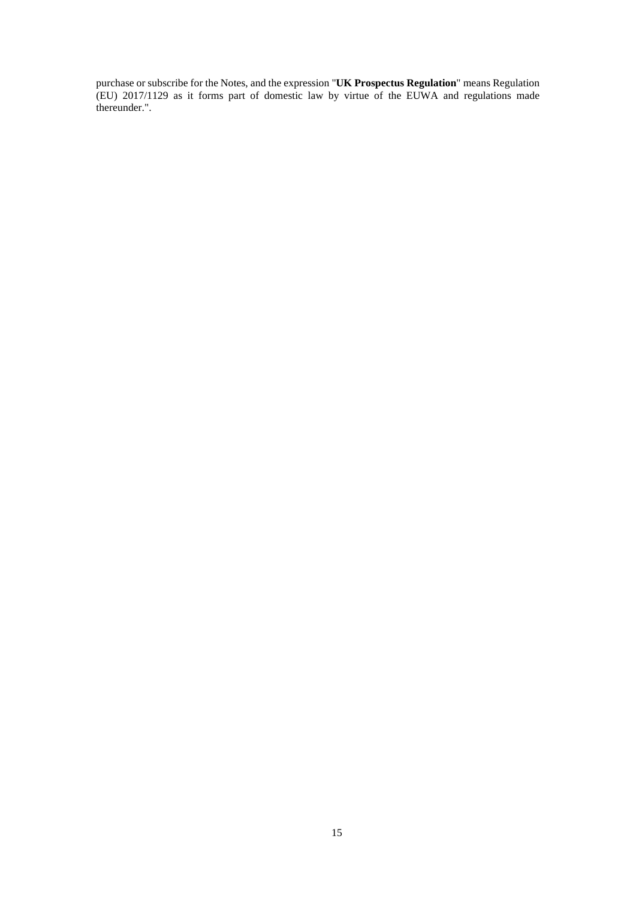purchase or subscribe for the Notes, and the expression "**UK Prospectus Regulation**" means Regulation (EU) 2017/1129 as it forms part of domestic law by virtue of the EUWA and regulations made thereunder.".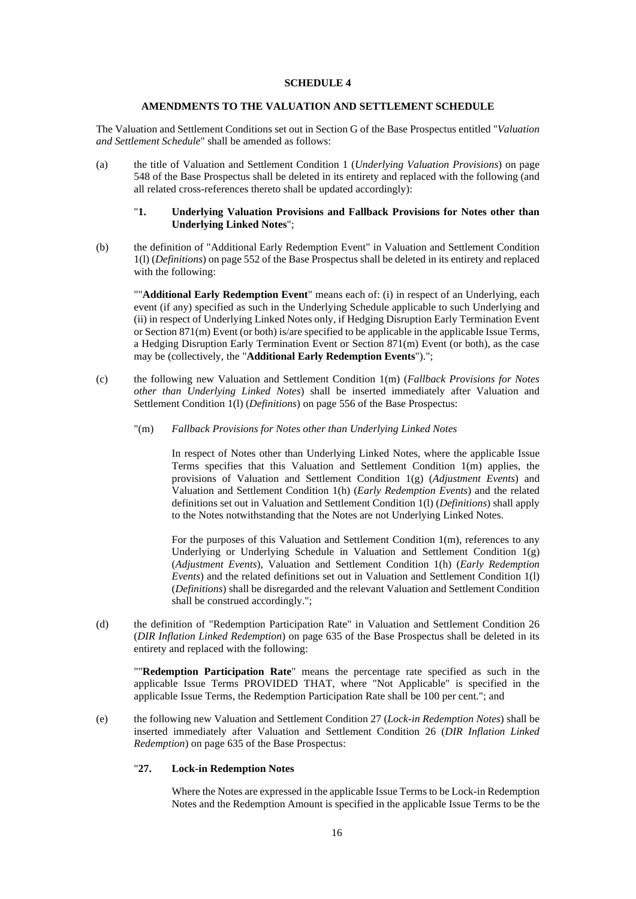## **AMENDMENTS TO THE VALUATION AND SETTLEMENT SCHEDULE**

The Valuation and Settlement Conditions set out in Section G of the Base Prospectus entitled "*Valuation and Settlement Schedule*" shall be amended as follows:

(a) the title of Valuation and Settlement Condition 1 (*Underlying Valuation Provisions*) on page 548 of the Base Prospectus shall be deleted in its entirety and replaced with the following (and all related cross-references thereto shall be updated accordingly):

## "**1. Underlying Valuation Provisions and Fallback Provisions for Notes other than Underlying Linked Notes**";

(b) the definition of "Additional Early Redemption Event" in Valuation and Settlement Condition 1(l) (*Definitions*) on page 552 of the Base Prospectus shall be deleted in its entirety and replaced with the following:

""**Additional Early Redemption Event**" means each of: (i) in respect of an Underlying, each event (if any) specified as such in the Underlying Schedule applicable to such Underlying and (ii) in respect of Underlying Linked Notes only, if Hedging Disruption Early Termination Event or Section 871(m) Event (or both) is/are specified to be applicable in the applicable Issue Terms, a Hedging Disruption Early Termination Event or Section 871(m) Event (or both), as the case may be (collectively, the "**Additional Early Redemption Events**").";

- (c) the following new Valuation and Settlement Condition 1(m) (*Fallback Provisions for Notes other than Underlying Linked Notes*) shall be inserted immediately after Valuation and Settlement Condition 1(l) (*Definitions*) on page 556 of the Base Prospectus:
	- "(m) *Fallback Provisions for Notes other than Underlying Linked Notes*

In respect of Notes other than Underlying Linked Notes, where the applicable Issue Terms specifies that this Valuation and Settlement Condition 1(m) applies, the provisions of Valuation and Settlement Condition 1(g) (*Adjustment Events*) and Valuation and Settlement Condition 1(h) (*Early Redemption Events*) and the related definitions set out in Valuation and Settlement Condition 1(l) (*Definitions*) shall apply to the Notes notwithstanding that the Notes are not Underlying Linked Notes.

For the purposes of this Valuation and Settlement Condition 1(m), references to any Underlying or Underlying Schedule in Valuation and Settlement Condition 1(g) (*Adjustment Events*), Valuation and Settlement Condition 1(h) (*Early Redemption Events*) and the related definitions set out in Valuation and Settlement Condition 1(l) (*Definitions*) shall be disregarded and the relevant Valuation and Settlement Condition shall be construed accordingly.";

(d) the definition of "Redemption Participation Rate" in Valuation and Settlement Condition 26 (*DIR Inflation Linked Redemption*) on page 635 of the Base Prospectus shall be deleted in its entirety and replaced with the following:

""**Redemption Participation Rate**" means the percentage rate specified as such in the applicable Issue Terms PROVIDED THAT, where "Not Applicable" is specified in the applicable Issue Terms, the Redemption Participation Rate shall be 100 per cent."; and

(e) the following new Valuation and Settlement Condition 27 (*Lock-in Redemption Notes*) shall be inserted immediately after Valuation and Settlement Condition 26 (*DIR Inflation Linked Redemption*) on page 635 of the Base Prospectus:

## "**27. Lock-in Redemption Notes**

Where the Notes are expressed in the applicable Issue Terms to be Lock-in Redemption Notes and the Redemption Amount is specified in the applicable Issue Terms to be the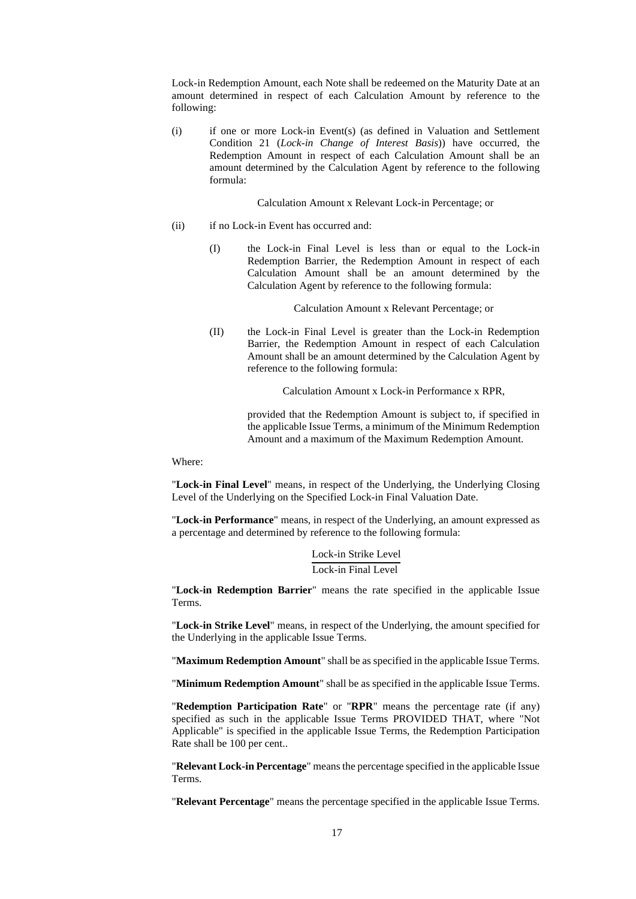Lock-in Redemption Amount, each Note shall be redeemed on the Maturity Date at an amount determined in respect of each Calculation Amount by reference to the following:

(i) if one or more Lock-in Event(s) (as defined in Valuation and Settlement Condition 21 (*Lock-in Change of Interest Basis*)) have occurred, the Redemption Amount in respect of each Calculation Amount shall be an amount determined by the Calculation Agent by reference to the following formula:

Calculation Amount x Relevant Lock-in Percentage; or

- (ii) if no Lock-in Event has occurred and:
	- (I) the Lock-in Final Level is less than or equal to the Lock-in Redemption Barrier, the Redemption Amount in respect of each Calculation Amount shall be an amount determined by the Calculation Agent by reference to the following formula:

Calculation Amount x Relevant Percentage; or

(II) the Lock-in Final Level is greater than the Lock-in Redemption Barrier, the Redemption Amount in respect of each Calculation Amount shall be an amount determined by the Calculation Agent by reference to the following formula:

Calculation Amount x Lock-in Performance x RPR,

provided that the Redemption Amount is subject to, if specified in the applicable Issue Terms, a minimum of the Minimum Redemption Amount and a maximum of the Maximum Redemption Amount.

Where:

"**Lock-in Final Level**" means, in respect of the Underlying, the Underlying Closing Level of the Underlying on the Specified Lock-in Final Valuation Date.

"**Lock-in Performance**" means, in respect of the Underlying, an amount expressed as a percentage and determined by reference to the following formula:

> Lock-in Strike Level Lock-in Final Level

"**Lock-in Redemption Barrier**" means the rate specified in the applicable Issue Terms.

"**Lock-in Strike Level**" means, in respect of the Underlying, the amount specified for the Underlying in the applicable Issue Terms.

"**Maximum Redemption Amount**" shall be as specified in the applicable Issue Terms.

"**Minimum Redemption Amount**" shall be as specified in the applicable Issue Terms.

"**Redemption Participation Rate**" or "**RPR**" means the percentage rate (if any) specified as such in the applicable Issue Terms PROVIDED THAT, where "Not Applicable" is specified in the applicable Issue Terms, the Redemption Participation Rate shall be 100 per cent..

"**Relevant Lock-in Percentage**" means the percentage specified in the applicable Issue Terms.

"**Relevant Percentage**" means the percentage specified in the applicable Issue Terms.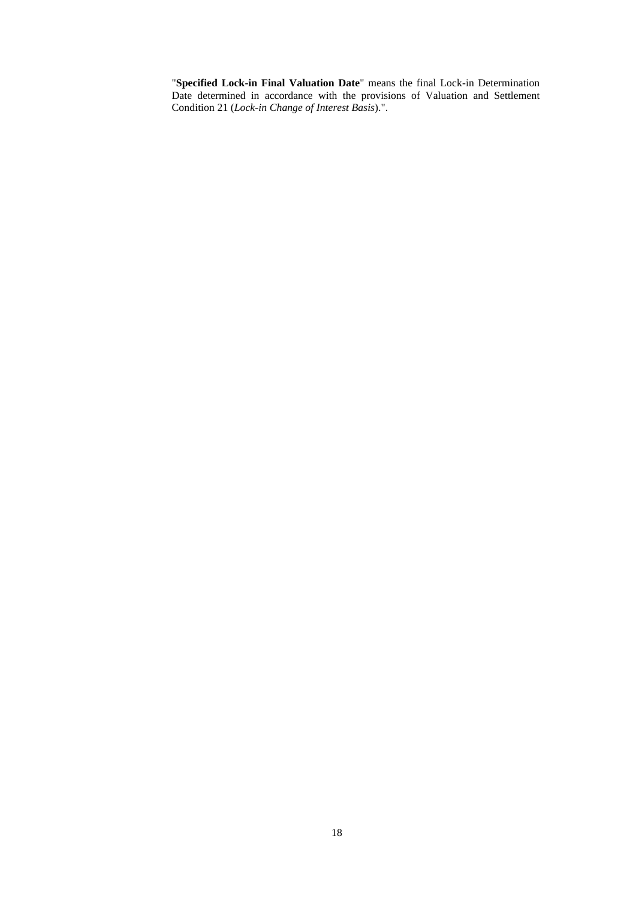"**Specified Lock-in Final Valuation Date**" means the final Lock-in Determination Date determined in accordance with the provisions of Valuation and Settlement Condition 21 (*Lock-in Change of Interest Basis*).".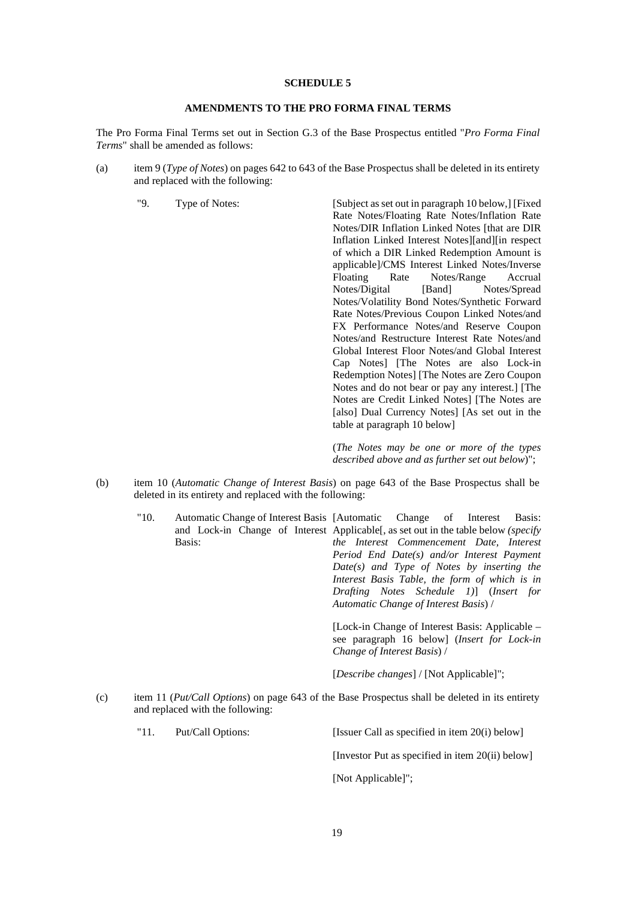## **AMENDMENTS TO THE PRO FORMA FINAL TERMS**

The Pro Forma Final Terms set out in Section G.3 of the Base Prospectus entitled "*Pro Forma Final Terms*" shall be amended as follows:

- (a) item 9 (*Type of Notes*) on pages 642 to 643 of the Base Prospectus shall be deleted in its entirety and replaced with the following:
	-

"9. Type of Notes: [Subject as set out in paragraph 10 below,] [Fixed Rate Notes/Floating Rate Notes/Inflation Rate Notes/DIR Inflation Linked Notes [that are DIR Inflation Linked Interest Notes][and][in respect of which a DIR Linked Redemption Amount is applicable]/CMS Interest Linked Notes/Inverse Floating Rate Notes/Range Accrual Notes/Digital [Band] Notes/Spread Notes/Volatility Bond Notes/Synthetic Forward Rate Notes/Previous Coupon Linked Notes/and FX Performance Notes/and Reserve Coupon Notes/and Restructure Interest Rate Notes/and Global Interest Floor Notes/and Global Interest Cap Notes] [The Notes are also Lock-in Redemption Notes] [The Notes are Zero Coupon Notes and do not bear or pay any interest.] [The Notes are Credit Linked Notes] [The Notes are [also] Dual Currency Notes] [As set out in the table at paragraph 10 below]

> (*The Notes may be one or more of the types described above and as further set out below*)";

- (b) item 10 (*Automatic Change of Interest Basis*) on page 643 of the Base Prospectus shall be deleted in its entirety and replaced with the following:
	- "10. Automatic Change of Interest Basis and Lock-in Change of Interest Applicable[, as set out in the table below *(specify*  Basis: Change of Interest Basis: *the Interest Commencement Date, Interest Period End Date(s) and/or Interest Payment Date(s) and Type of Notes by inserting the Interest Basis Table, the form of which is in Drafting Notes Schedule 1)*] (*Insert for Automatic Change of Interest Basis*) /

[Lock-in Change of Interest Basis: Applicable – see paragraph 16 below] (*Insert for Lock-in Change of Interest Basis*) /

[*Describe changes*] / [Not Applicable]";

(c) item 11 (*Put/Call Options*) on page 643 of the Base Prospectus shall be deleted in its entirety and replaced with the following:

| "11. | Put/Call Options: | [Issuer Call as specified in item 20(i) below] |
|------|-------------------|------------------------------------------------|
|      |                   |                                                |

[Investor Put as specified in item 20(ii) below]

[Not Applicable]";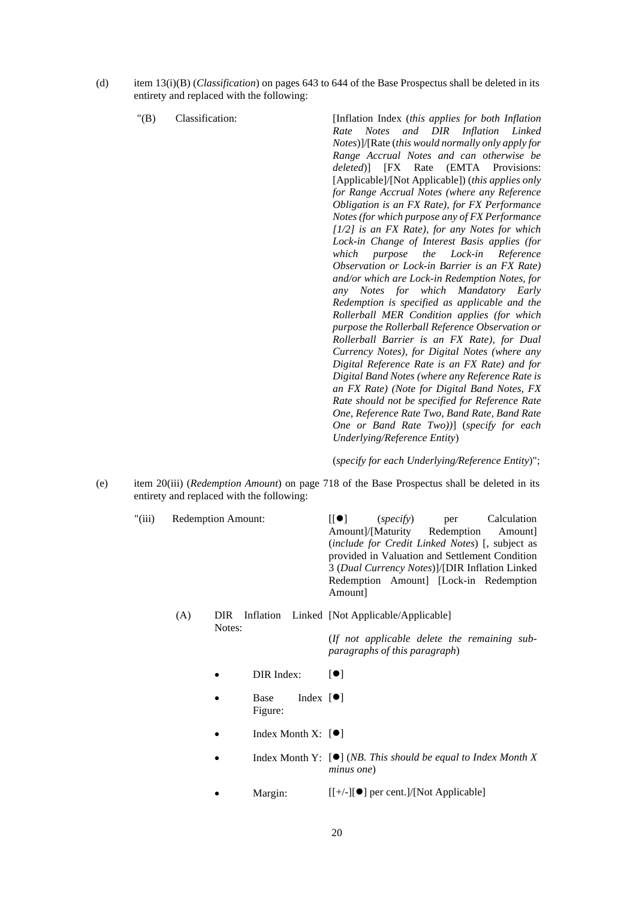- (d) item 13(i)(B) (*Classification*) on pages 643 to 644 of the Base Prospectus shall be deleted in its entirety and replaced with the following:
	-

"(B) Classification: [Inflation Index (*this applies for both Inflation Rate Notes and DIR Inflation Linked Notes*)]/[Rate (*this would normally only apply for Range Accrual Notes and can otherwise be deleted*)] [FX Rate (EMTA Provisions: [Applicable]/[Not Applicable]) (*this applies only for Range Accrual Notes (where any Reference Obligation is an FX Rate), for FX Performance Notes (for which purpose any of FX Performance [1/2] is an FX Rate), for any Notes for which Lock-in Change of Interest Basis applies (for which purpose the Lock-in Reference Observation or Lock-in Barrier is an FX Rate) and/or which are Lock-in Redemption Notes, for any Notes for which Mandatory Early Redemption is specified as applicable and the Rollerball MER Condition applies (for which purpose the Rollerball Reference Observation or Rollerball Barrier is an FX Rate), for Dual Currency Notes), for Digital Notes (where any Digital Reference Rate is an FX Rate) and for Digital Band Notes (where any Reference Rate is an FX Rate) (Note for Digital Band Notes, FX Rate should not be specified for Reference Rate One, Reference Rate Two, Band Rate, Band Rate One or Band Rate Two))*] (*specify for each Underlying/Reference Entity*)

(*specify for each Underlying/Reference Entity*)";

- (e) item 20(iii) (*Redemption Amount*) on page 718 of the Base Prospectus shall be deleted in its entirety and replaced with the following:
	- "(iii) Redemption Amount:  $[[\bullet]]$  (*specify*) per Calculation Amount]/[Maturity Redemption Amount] (*include for Credit Linked Notes*) [, subject as provided in Valuation and Settlement Condition 3 (*Dual Currency Notes*)]/[DIR Inflation Linked Redemption Amount] [Lock-in Redemption Amount]
		- (A) DIR Inflation Linked [Not Applicable/Applicable] Notes:

(*If not applicable delete the remaining subparagraphs of this paragraph*)

- $DIR Index:$   $[①]$
- $\bullet$  Base Index  $[\bullet]$ Figure:
- Index Month X:  $[•]$
- Index Month Y:  $[\bullet]$  (*NB. This should be equal to Index Month X minus one*)
- Margin:  $[[+/-][\bullet]$  per cent.]/[Not Applicable]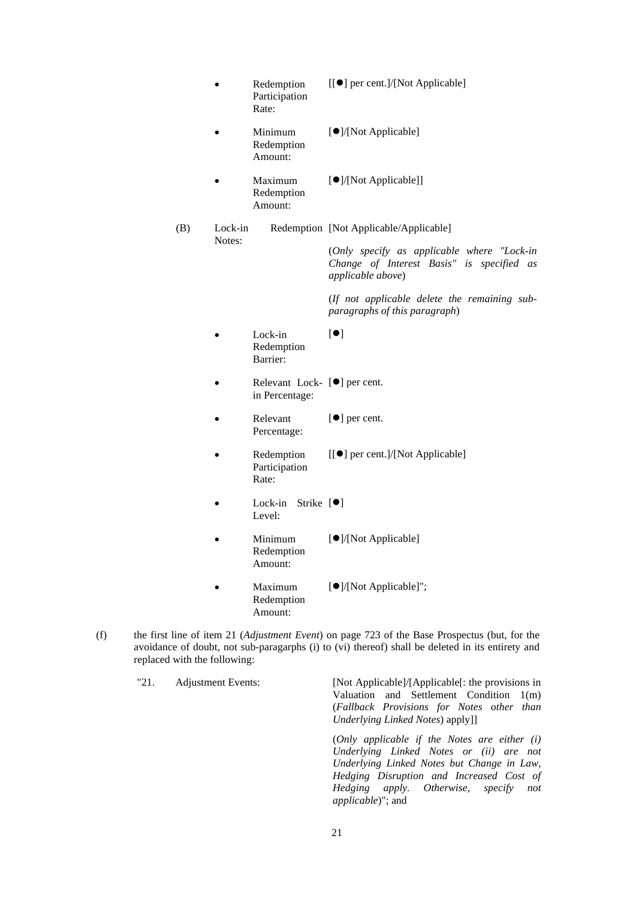- Redemption Participation Rate: [[] per cent.]/[Not Applicable]
- Minimum Redemption Amount: [<sup>O</sup>]/[Not Applicable]
- Maximum Redemption Amount: [<sup>O</sup>]/[Not Applicable]]
- (B) Lock-in Redemption [Not Applicable/Applicable] Notes: (*Only specify as applicable where "Lock-in*

*Change of Interest Basis" is specified as applicable above*)

(*If not applicable delete the remaining subparagraphs of this paragraph*)

- Lock-in Redemption Barrier:  $[$
- $\bullet$  Relevant Lock-  $[\bullet]$  per cent. in Percentage:
- Relevant Percentage: [ $\bullet$ ] per cent.
- Redemption Participation Rate: [[] per cent.]/[Not Applicable]
- $\bullet$  Lock-in Strike  $[\bullet]$ Level:
- Minimum Redemption Amount: [<sup>O</sup>]/[Not Applicable]
- Maximum Redemption Amount: []/[Not Applicable]";
- (f) the first line of item 21 (*Adjustment Event*) on page 723 of the Base Prospectus (but, for the avoidance of doubt, not sub-paragarphs (i) to (vi) thereof) shall be deleted in its entirety and replaced with the following:

"21. Adjustment Events: [Not Applicable]/[Applicable[: the provisions in Valuation and Settlement Condition 1(m) (*Fallback Provisions for Notes other than Underlying Linked Notes*) apply]] (*Only applicable if the Notes are either (i) Underlying Linked Notes or (ii) are not Underlying Linked Notes but Change in Law, Hedging Disruption and Increased Cost of Hedging apply. Otherwise, specify not applicable*)"; and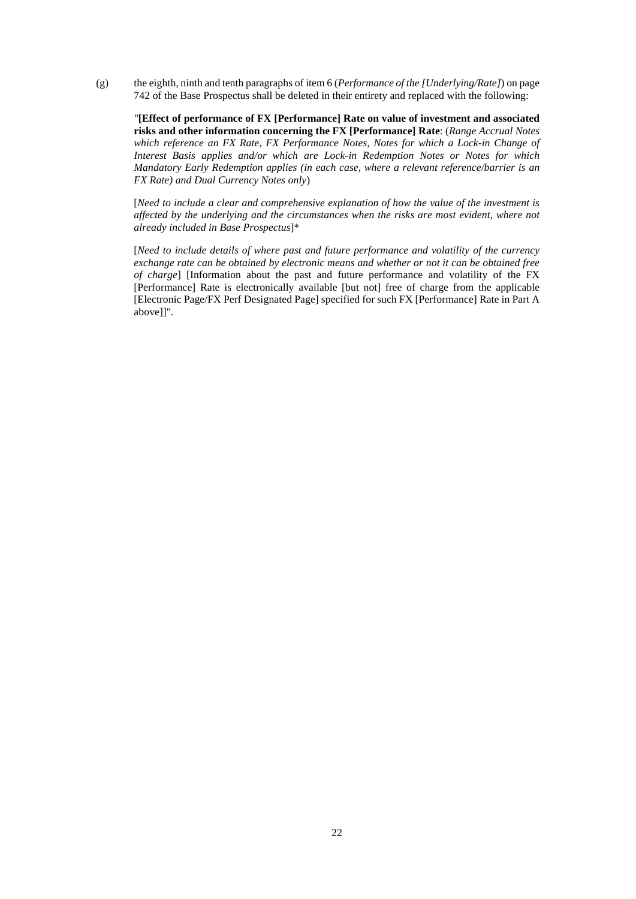(g) the eighth, ninth and tenth paragraphs of item 6 (*Performance of the [Underlying/Rate]*) on page 742 of the Base Prospectus shall be deleted in their entirety and replaced with the following:

*"***[Effect of performance of FX [Performance] Rate on value of investment and associated risks and other information concerning the FX [Performance] Rate**: (*Range Accrual Notes which reference an FX Rate, FX Performance Notes, Notes for which a Lock-in Change of Interest Basis applies and/or which are Lock-in Redemption Notes or Notes for which Mandatory Early Redemption applies (in each case, where a relevant reference/barrier is an FX Rate) and Dual Currency Notes only*)

[*Need to include a clear and comprehensive explanation of how the value of the investment is affected by the underlying and the circumstances when the risks are most evident, where not already included in Base Prospectus*]\*

[*Need to include details of where past and future performance and volatility of the currency exchange rate can be obtained by electronic means and whether or not it can be obtained free of charge*] [Information about the past and future performance and volatility of the FX [Performance] Rate is electronically available [but not] free of charge from the applicable [Electronic Page/FX Perf Designated Page] specified for such FX [Performance] Rate in Part A above]]".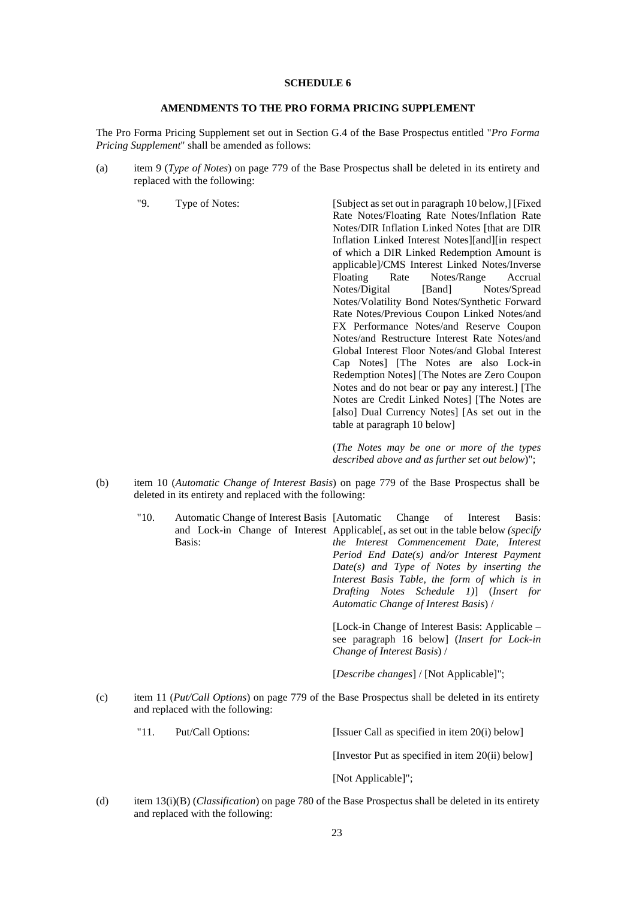## **AMENDMENTS TO THE PRO FORMA PRICING SUPPLEMENT**

The Pro Forma Pricing Supplement set out in Section G.4 of the Base Prospectus entitled "*Pro Forma Pricing Supplement*" shall be amended as follows:

- (a) item 9 (*Type of Notes*) on page 779 of the Base Prospectus shall be deleted in its entirety and replaced with the following:
	-

"9. Type of Notes: [Subject as set out in paragraph 10 below,] [Fixed Rate Notes/Floating Rate Notes/Inflation Rate Notes/DIR Inflation Linked Notes [that are DIR Inflation Linked Interest Notes][and][in respect of which a DIR Linked Redemption Amount is applicable]/CMS Interest Linked Notes/Inverse Floating Rate Notes/Range Accrual Notes/Digital [Band] Notes/Spread Notes/Volatility Bond Notes/Synthetic Forward Rate Notes/Previous Coupon Linked Notes/and FX Performance Notes/and Reserve Coupon Notes/and Restructure Interest Rate Notes/and Global Interest Floor Notes/and Global Interest Cap Notes] [The Notes are also Lock-in Redemption Notes] [The Notes are Zero Coupon Notes and do not bear or pay any interest.] [The Notes are Credit Linked Notes] [The Notes are [also] Dual Currency Notes] [As set out in the table at paragraph 10 below]

> (*The Notes may be one or more of the types described above and as further set out below*)";

- (b) item 10 (*Automatic Change of Interest Basis*) on page 779 of the Base Prospectus shall be deleted in its entirety and replaced with the following:
	- "10. Automatic Change of Interest Basis and Lock-in Change of Interest Applicable[, as set out in the table below *(specify*  Basis: Change of Interest Basis: *the Interest Commencement Date, Interest Period End Date(s) and/or Interest Payment Date(s) and Type of Notes by inserting the Interest Basis Table, the form of which is in Drafting Notes Schedule 1)*] (*Insert for Automatic Change of Interest Basis*) /

[Lock-in Change of Interest Basis: Applicable – see paragraph 16 below] (*Insert for Lock-in Change of Interest Basis*) /

[*Describe changes*] / [Not Applicable]";

- (c) item 11 (*Put/Call Options*) on page 779 of the Base Prospectus shall be deleted in its entirety and replaced with the following:
	- "11. Put/Call Options: [Issuer Call as specified in item 20(i) below]

[Investor Put as specified in item 20(ii) below]

- [Not Applicable]";
- (d) item 13(i)(B) (*Classification*) on page 780 of the Base Prospectus shall be deleted in its entirety and replaced with the following: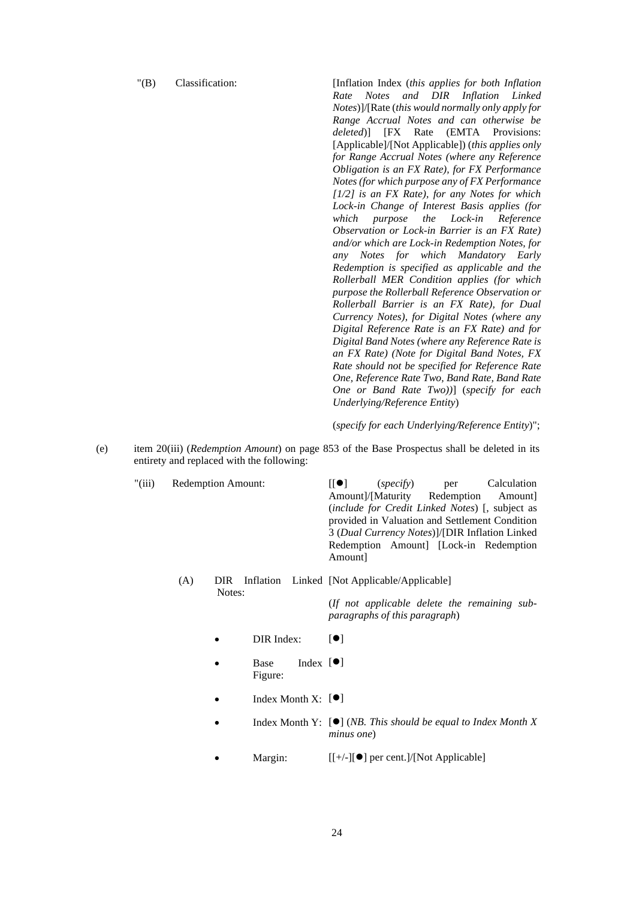"(B) Classification: [Inflation Index (*this applies for both Inflation Rate Notes and DIR Inflation Linked Notes*)]/[Rate (*this would normally only apply for Range Accrual Notes and can otherwise be deleted*)] [FX Rate (EMTA Provisions: [Applicable]/[Not Applicable]) (*this applies only for Range Accrual Notes (where any Reference Obligation is an FX Rate), for FX Performance Notes (for which purpose any of FX Performance [1/2] is an FX Rate), for any Notes for which Lock-in Change of Interest Basis applies (for which purpose the Lock-in Reference Observation or Lock-in Barrier is an FX Rate) and/or which are Lock-in Redemption Notes, for any Notes for which Mandatory Early Redemption is specified as applicable and the Rollerball MER Condition applies (for which purpose the Rollerball Reference Observation or Rollerball Barrier is an FX Rate), for Dual Currency Notes), for Digital Notes (where any Digital Reference Rate is an FX Rate) and for Digital Band Notes (where any Reference Rate is an FX Rate) (Note for Digital Band Notes, FX Rate should not be specified for Reference Rate One, Reference Rate Two, Band Rate, Band Rate One or Band Rate Two))*] (*specify for each Underlying/Reference Entity*)

(*specify for each Underlying/Reference Entity*)";

- (e) item 20(iii) (*Redemption Amount*) on page 853 of the Base Prospectus shall be deleted in its entirety and replaced with the following:
	- "(iii) Redemption Amount:  $[[\bullet]]$  (*specify*) per Calculation Amount]/[Maturity Redemption Amount] (*include for Credit Linked Notes*) [, subject as provided in Valuation and Settlement Condition 3 (*Dual Currency Notes*)]/[DIR Inflation Linked Redemption Amount] [Lock-in Redemption Amount]
		- (A) DIR Inflation Linked [Not Applicable/Applicable] Notes: (*If not applicable delete the remaining subparagraphs of this paragraph*)
			- $DIR Index:$   $[①]$
			- $\bullet$  Base Index  $[\bullet]$ Figure:
			- Index Month X:  $[•]$
			- Index Month Y:  $[\bullet]$  (*NB. This should be equal to Index Month X minus one*)
			- Margin:  $[[+/-][\bullet]$  per cent.]/[Not Applicable]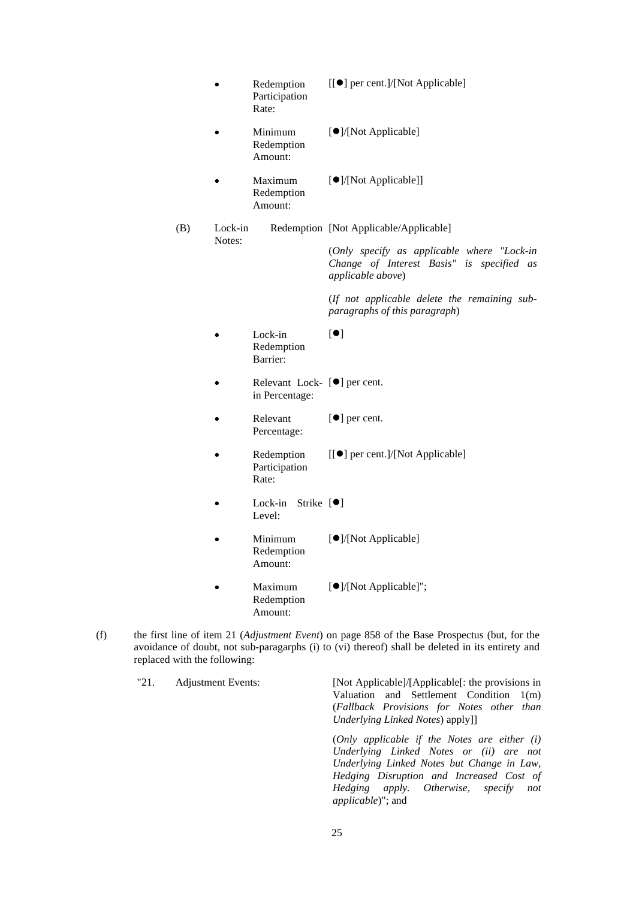- Redemption Participation Rate: [[] per cent.]/[Not Applicable]
- Minimum Redemption Amount: [<sup>O</sup>]/[Not Applicable]
- Maximum Redemption Amount: [<sup>O</sup>]/[Not Applicable]]
- (B) Lock-in Redemption [Not Applicable/Applicable] Notes: (*Only specify as applicable where "Lock-in*

*Change of Interest Basis" is specified as applicable above*)

(*If not applicable delete the remaining subparagraphs of this paragraph*)

- Lock-in Redemption Barrier:  $[$
- $\bullet$  Relevant Lock-  $[\bullet]$  per cent. in Percentage:
- Relevant Percentage: [ $\bullet$ ] per cent.
- Redemption Participation Rate: [[] per cent.]/[Not Applicable]
- $\bullet$  Lock-in Strike  $[\bullet]$ Level:
- Minimum Redemption Amount: [<sup>O</sup>]/[Not Applicable]
- Maximum Redemption Amount: []/[Not Applicable]";
- (f) the first line of item 21 (*Adjustment Event*) on page 858 of the Base Prospectus (but, for the avoidance of doubt, not sub-paragarphs (i) to (vi) thereof) shall be deleted in its entirety and replaced with the following:

"21. Adjustment Events: [Not Applicable]/[Applicable[: the provisions in Valuation and Settlement Condition 1(m) (*Fallback Provisions for Notes other than Underlying Linked Notes*) apply]] (*Only applicable if the Notes are either (i) Underlying Linked Notes or (ii) are not Underlying Linked Notes but Change in Law, Hedging Disruption and Increased Cost of Hedging apply. Otherwise, specify not applicable*)"; and